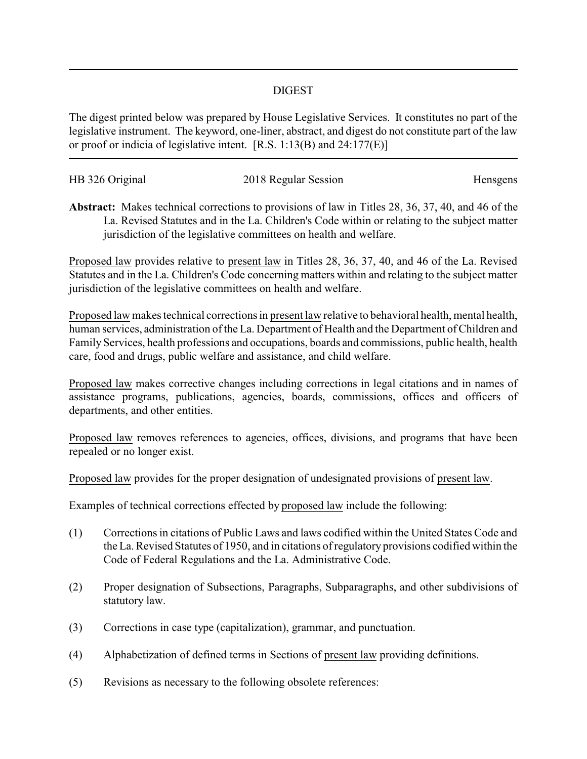## DIGEST

The digest printed below was prepared by House Legislative Services. It constitutes no part of the legislative instrument. The keyword, one-liner, abstract, and digest do not constitute part of the law or proof or indicia of legislative intent. [R.S. 1:13(B) and 24:177(E)]

| HB 326 Original | 2018 Regular Session | Hensgens |
|-----------------|----------------------|----------|
|                 |                      |          |

**Abstract:** Makes technical corrections to provisions of law in Titles 28, 36, 37, 40, and 46 of the La. Revised Statutes and in the La. Children's Code within or relating to the subject matter jurisdiction of the legislative committees on health and welfare.

Proposed law provides relative to present law in Titles 28, 36, 37, 40, and 46 of the La. Revised Statutes and in the La. Children's Code concerning matters within and relating to the subject matter jurisdiction of the legislative committees on health and welfare.

Proposed law makes technical corrections in present law relative to behavioral health, mental health, human services, administration of the La. Department of Health and the Department of Children and Family Services, health professions and occupations, boards and commissions, public health, health care, food and drugs, public welfare and assistance, and child welfare.

Proposed law makes corrective changes including corrections in legal citations and in names of assistance programs, publications, agencies, boards, commissions, offices and officers of departments, and other entities.

Proposed law removes references to agencies, offices, divisions, and programs that have been repealed or no longer exist.

Proposed law provides for the proper designation of undesignated provisions of present law.

Examples of technical corrections effected by proposed law include the following:

- (1) Corrections in citations of Public Laws and laws codified within the United States Code and the La. Revised Statutes of 1950, and in citations of regulatory provisions codified within the Code of Federal Regulations and the La. Administrative Code.
- (2) Proper designation of Subsections, Paragraphs, Subparagraphs, and other subdivisions of statutory law.
- (3) Corrections in case type (capitalization), grammar, and punctuation.
- (4) Alphabetization of defined terms in Sections of present law providing definitions.
- (5) Revisions as necessary to the following obsolete references: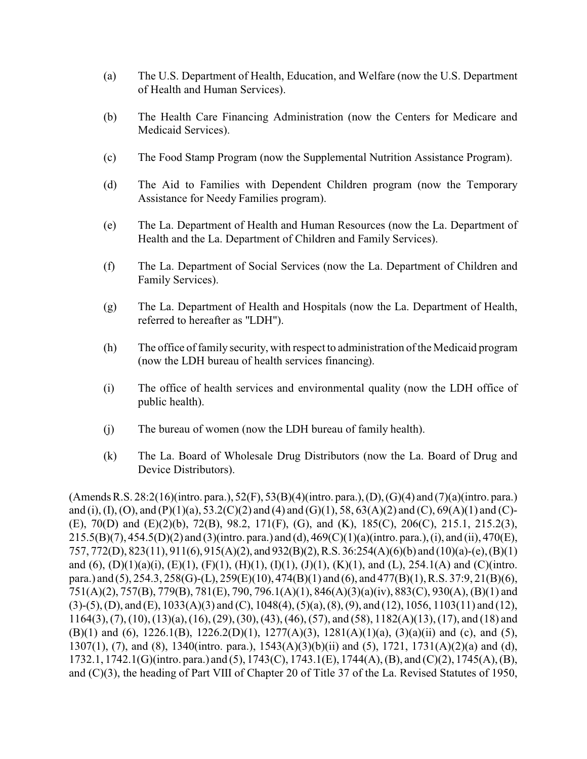- (a) The U.S. Department of Health, Education, and Welfare (now the U.S. Department of Health and Human Services).
- (b) The Health Care Financing Administration (now the Centers for Medicare and Medicaid Services).
- (c) The Food Stamp Program (now the Supplemental Nutrition Assistance Program).
- (d) The Aid to Families with Dependent Children program (now the Temporary Assistance for Needy Families program).
- (e) The La. Department of Health and Human Resources (now the La. Department of Health and the La. Department of Children and Family Services).
- (f) The La. Department of Social Services (now the La. Department of Children and Family Services).
- (g) The La. Department of Health and Hospitals (now the La. Department of Health, referred to hereafter as "LDH").
- (h) The office of family security, with respect to administration of the Medicaid program (now the LDH bureau of health services financing).
- (i) The office of health services and environmental quality (now the LDH office of public health).
- (j) The bureau of women (now the LDH bureau of family health).
- (k) The La. Board of Wholesale Drug Distributors (now the La. Board of Drug and Device Distributors).

(Amends R.S. 28:2(16)(intro. para.), 52(F), 53(B)(4)(intro. para.),(D),(G)(4) and (7)(a)(intro. para.) and (i), (I), (O), and (P)(1)(a), 53.2(C)(2) and (4) and (G)(1), 58, 63(A)(2) and (C), 69(A)(1) and (C)-(E), 70(D) and (E)(2)(b), 72(B), 98.2, 171(F), (G), and (K), 185(C), 206(C), 215.1, 215.2(3), 215.5(B)(7), 454.5(D)(2) and (3)(intro. para.) and (d), 469(C)(1)(a)(intro. para.), (i), and (ii), 470(E), 757, 772(D), 823(11), 911(6), 915(A)(2), and 932(B)(2),R.S. 36:254(A)(6)(b) and (10)(a)-(e), (B)(1) and (6),  $(D)(1)(a)(i)$ ,  $(E)(1)$ ,  $(F)(1)$ ,  $(H)(1)$ ,  $(I)(1)$ ,  $(J)(1)$ ,  $(K)(1)$ , and  $(L)$ , 254.1(A) and  $(C)(\text{intro.})$ para.) and (5), 254.3, 258(G)-(L), 259(E)(10), 474(B)(1) and (6), and 477(B)(1), R.S. 37:9, 21(B)(6), 751(A)(2), 757(B), 779(B), 781(E), 790, 796.1(A)(1), 846(A)(3)(a)(iv), 883(C), 930(A), (B)(1) and (3)-(5), (D), and (E), 1033(A)(3) and (C), 1048(4), (5)(a), (8), (9), and (12), 1056, 1103(11) and (12), 1164(3), (7), (10), (13)(a), (16), (29), (30), (43), (46), (57), and (58), 1182(A)(13), (17), and (18) and (B)(1) and (6), 1226.1(B), 1226.2(D)(1), 1277(A)(3), 1281(A)(1)(a), (3)(a)(ii) and (c), and (5), 1307(1), (7), and (8), 1340(intro. para.), 1543(A)(3)(b)(ii) and (5), 1721, 1731(A)(2)(a) and (d), 1732.1, 1742.1(G)(intro. para.) and (5), 1743(C), 1743.1(E), 1744(A), (B), and (C)(2), 1745(A), (B), and (C)(3), the heading of Part VIII of Chapter 20 of Title 37 of the La. Revised Statutes of 1950,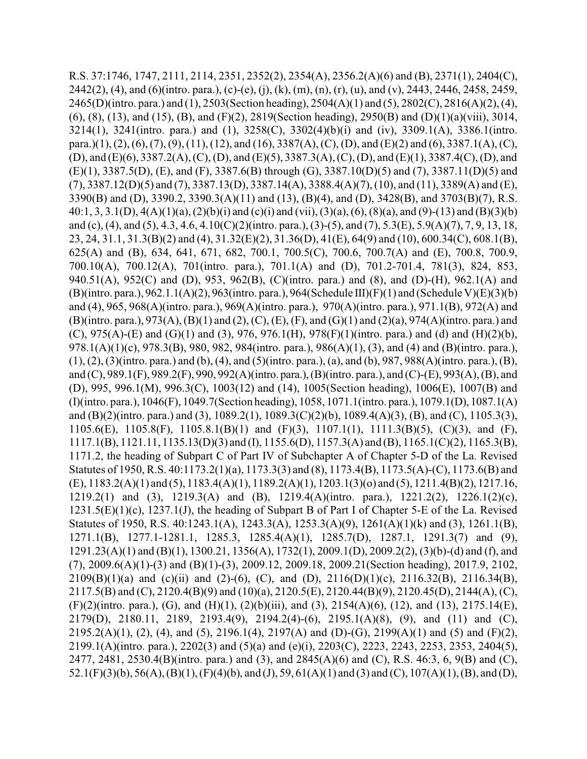R.S. 37:1746, 1747, 2111, 2114, 2351, 2352(2), 2354(A), 2356.2(A)(6) and (B), 2371(1), 2404(C), 2442(2), (4), and (6)(intro. para.), (c)-(e), (j), (k), (m), (n), (r), (u), and (v), 2443, 2446, 2458, 2459, 2465(D)(intro. para.) and (1), 2503(Section heading), 2504(A)(1) and (5), 2802(C), 2816(A)(2), (4), (6), (8), (13), and (15), (B), and (F)(2), 2819(Section heading), 2950(B) and (D)(1)(a)(viii), 3014, 3214(1), 3241(intro. para.) and (1), 3258(C), 3302(4)(b)(i) and (iv), 3309.1(A), 3386.1(intro. para.)(1), (2), (6), (7), (9), (11), (12), and (16), 3387(A), (C), (D), and (E)(2) and (6), 3387.1(A), (C), (D), and (E)(6), 3387.2(A), (C), (D), and (E)(5), 3387.3(A), (C), (D), and (E)(1), 3387.4(C), (D), and (E)(1), 3387.5(D), (E), and (F), 3387.6(B) through (G), 3387.10(D)(5) and (7), 3387.11(D)(5) and (7), 3387.12(D)(5) and (7), 3387.13(D), 3387.14(A), 3388.4(A)(7), (10), and (11), 3389(A) and (E), 3390(B) and (D), 3390.2, 3390.3(A)(11) and (13), (B)(4), and (D), 3428(B), and 3703(B)(7), R.S. 40:1, 3, 3.1(D), 4(A)(1)(a), (2)(b)(i) and (c)(i) and (vii), (3)(a), (6), (8)(a), and (9)-(13) and (B)(3)(b) and (c), (4), and (5), 4.3, 4.6, 4.10(C)(2)(intro. para.), (3)-(5), and (7), 5.3(E), 5.9(A)(7), 7, 9, 13, 18, 23, 24, 31.1, 31.3(B)(2) and (4), 31.32(E)(2), 31.36(D), 41(E), 64(9) and (10), 600.34(C), 608.1(B), 625(A) and (B), 634, 641, 671, 682, 700.1, 700.5(C), 700.6, 700.7(A) and (E), 700.8, 700.9, 700.10(A), 700.12(A), 701(intro. para.), 701.1(A) and (D), 701.2-701.4, 781(3), 824, 853, 940.51(A), 952(C) and (D), 953, 962(B), (C)(intro. para.) and (8), and (D)-(H), 962.1(A) and (B)(intro. para.), 962.1.1(A)(2), 963(intro. para.), 964(Schedule III)(F)(1) and (Schedule V)(E)(3)(b) and (4), 965, 968(A)(intro. para.), 969(A)(intro. para.), 970(A)(intro. para.), 971.1(B), 972(A) and (B)(intro. para.), 973(A), (B)(1) and (2), (C), (E), (F), and (G)(1) and (2)(a), 974(A)(intro. para.) and (C),  $975(A)$ -(E) and (G)(1) and (3),  $976$ ,  $976.1(H)$ ,  $978(F)(1)$ (intro. para.) and (d) and (H)(2)(b), 978.1(A)(1)(c), 978.3(B), 980, 982, 984(intro. para.), 986(A)(1), (3), and (4) and (B)(intro. para.), (1), (2), (3)(intro. para.) and (b), (4), and (5)(intro. para.), (a), and (b), 987, 988(A)(intro. para.), (B), and (C), 989.1(F), 989.2(F), 990, 992(A)(intro. para.),(B)(intro. para.), and (C)-(E), 993(A), (B), and (D), 995, 996.1(M), 996.3(C), 1003(12) and (14), 1005(Section heading), 1006(E), 1007(B) and (I)(intro. para.), 1046(F), 1049.7(Section heading), 1058, 1071.1(intro. para.), 1079.1(D), 1087.1(A) and (B)(2)(intro. para.) and (3), 1089.2(1), 1089.3(C)(2)(b), 1089.4(A)(3), (B), and (C), 1105.3(3), 1105.6(E), 1105.8(F), 1105.8.1(B)(1) and (F)(3), 1107.1(1), 1111.3(B)(5), (C)(3), and (F), 1117.1(B), 1121.11, 1135.13(D)(3) and (I), 1155.6(D), 1157.3(A) and (B), 1165.1(C)(2), 1165.3(B), 1171.2, the heading of Subpart C of Part IV of Subchapter A of Chapter 5-D of the La. Revised Statutes of 1950, R.S. 40:1173.2(1)(a), 1173.3(3) and (8), 1173.4(B), 1173.5(A)-(C), 1173.6(B) and (E), 1183.2(A)(1) and (5), 1183.4(A)(1), 1189.2(A)(1), 1203.1(3)(o) and (5), 1211.4(B)(2), 1217.16, 1219.2(1) and (3), 1219.3(A) and (B), 1219.4(A)(intro. para.), 1221.2(2), 1226.1(2)(c), 1231.5(E)(1)(c), 1237.1(J), the heading of Subpart B of Part I of Chapter 5-E of the La. Revised Statutes of 1950, R.S. 40:1243.1(A), 1243.3(A), 1253.3(A)(9), 1261(A)(1)(k) and (3), 1261.1(B), 1271.1(B), 1277.1-1281.1, 1285.3, 1285.4(A)(1), 1285.7(D), 1287.1, 1291.3(7) and (9), 1291.23(A)(1) and (B)(1), 1300.21, 1356(A), 1732(1), 2009.1(D), 2009.2(2), (3)(b)-(d) and (f), and (7), 2009.6(A)(1)-(3) and (B)(1)-(3), 2009.12, 2009.18, 2009.21(Section heading), 2017.9, 2102,  $2109(B)(1)(a)$  and (c)(ii) and (2)-(6), (C), and (D),  $2116(D)(1)(c)$ ,  $2116.32(B)$ ,  $2116.34(B)$ , 2117.5(B) and (C), 2120.4(B)(9) and (10)(a), 2120.5(E), 2120.44(B)(9), 2120.45(D), 2144(A), (C), (F)(2)(intro. para.), (G), and (H)(1), (2)(b)(iii), and (3), 2154(A)(6), (12), and (13), 2175.14(E), 2179(D), 2180.11, 2189, 2193.4(9), 2194.2(4)-(6), 2195.1(A)(8), (9), and (11) and (C), 2195.2(A)(1), (2), (4), and (5), 2196.1(4), 2197(A) and (D)-(G), 2199(A)(1) and (5) and (F)(2), 2199.1(A)(intro. para.), 2202(3) and (5)(a) and (e)(i), 2203(C), 2223, 2243, 2253, 2353, 2404(5), 2477, 2481, 2530.4(B)(intro. para.) and (3), and 2845(A)(6) and (C), R.S. 46:3, 6, 9(B) and (C), 52.1(F)(3)(b), 56(A), (B)(1), (F)(4)(b), and (J), 59, 61(A)(1) and (3) and (C), 107(A)(1), (B), and (D),